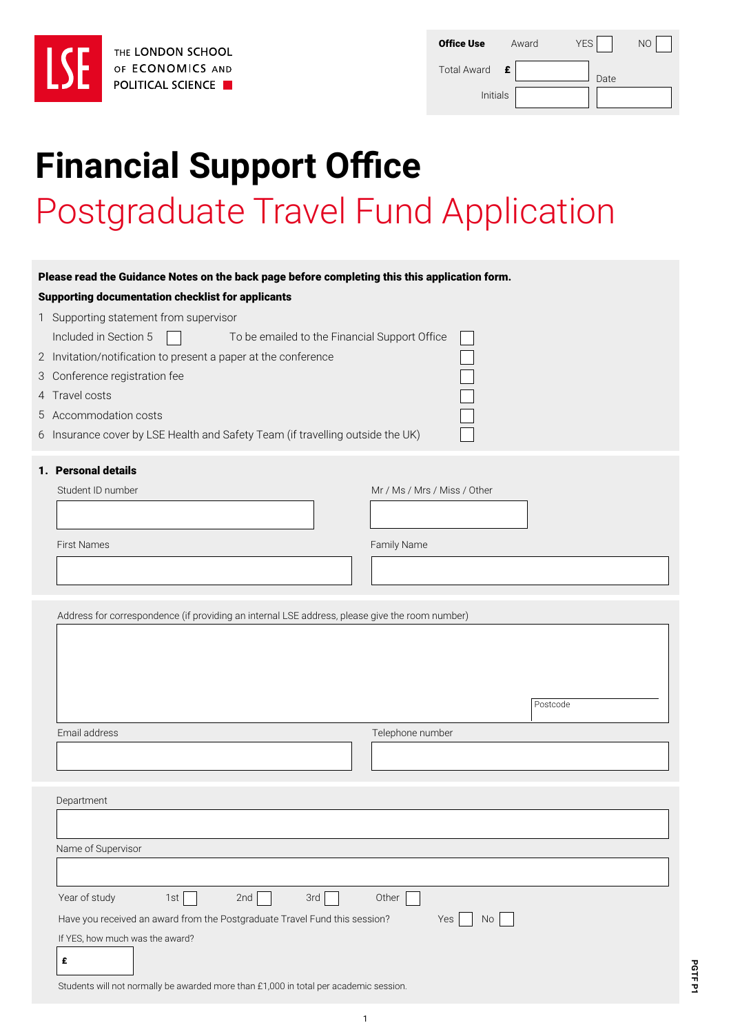| THE I |
|-------|
| OF E  |
| POLI  |
|       |

| <b>Office Use</b>       | Award | <b>YES</b> | NС |
|-------------------------|-------|------------|----|
| <b>Total Award</b><br>E |       | Date       |    |
| Initials                |       |            |    |

# **Financial Support Office**  Postgraduate Travel Fund Application

| THE LONDON SCHOOL                                                                                                                                         | <b>Office Use</b><br><b>YES</b><br>NO<br>Award |
|-----------------------------------------------------------------------------------------------------------------------------------------------------------|------------------------------------------------|
| OF ECONOMICS AND<br><b>POLITICAL SCIENCE</b>                                                                                                              | <b>Total Award</b><br>£<br>Date                |
|                                                                                                                                                           | Initials                                       |
|                                                                                                                                                           |                                                |
|                                                                                                                                                           |                                                |
| <b>Financial Support Office</b>                                                                                                                           |                                                |
|                                                                                                                                                           |                                                |
| <b>Postgraduate Travel Fund Application</b>                                                                                                               |                                                |
|                                                                                                                                                           |                                                |
|                                                                                                                                                           |                                                |
| Please read the Guidance Notes on the back page before completing this this application form.<br><b>Supporting documentation checklist for applicants</b> |                                                |
| 1 Supporting statement from supervisor                                                                                                                    |                                                |
| Included in Section 5<br>To be emailed to the Financial Support Office                                                                                    |                                                |
| 2 Invitation/notification to present a paper at the conference                                                                                            |                                                |
| 3 Conference registration fee                                                                                                                             |                                                |
| 4 Travel costs                                                                                                                                            |                                                |
| 5 Accommodation costs                                                                                                                                     |                                                |
| 6 Insurance cover by LSE Health and Safety Team (if travelling outside the UK)                                                                            |                                                |
| 1. Personal details                                                                                                                                       |                                                |
| Student ID number                                                                                                                                         | Mr / Ms / Mrs / Miss / Other                   |
|                                                                                                                                                           |                                                |
| <b>First Names</b>                                                                                                                                        | Family Name                                    |
|                                                                                                                                                           |                                                |
|                                                                                                                                                           |                                                |
| Address for correspondence (if providing an internal LSE address, please give the room number)                                                            |                                                |
|                                                                                                                                                           |                                                |
|                                                                                                                                                           |                                                |
|                                                                                                                                                           |                                                |
|                                                                                                                                                           | Postcode                                       |
| Email address                                                                                                                                             | Telephone number                               |
|                                                                                                                                                           |                                                |
|                                                                                                                                                           |                                                |
| Department                                                                                                                                                |                                                |
|                                                                                                                                                           |                                                |
| Name of Supervisor                                                                                                                                        |                                                |
|                                                                                                                                                           |                                                |
| Year of study<br>1st<br>2nd<br>3rd                                                                                                                        | Other                                          |
| Have you received an award from the Postgraduate Travel Fund this session?                                                                                | Yes<br>No.                                     |
| If YES, how much was the award?                                                                                                                           |                                                |
| £                                                                                                                                                         |                                                |

Students will not normally be awarded more than £1,000 in total per academic session.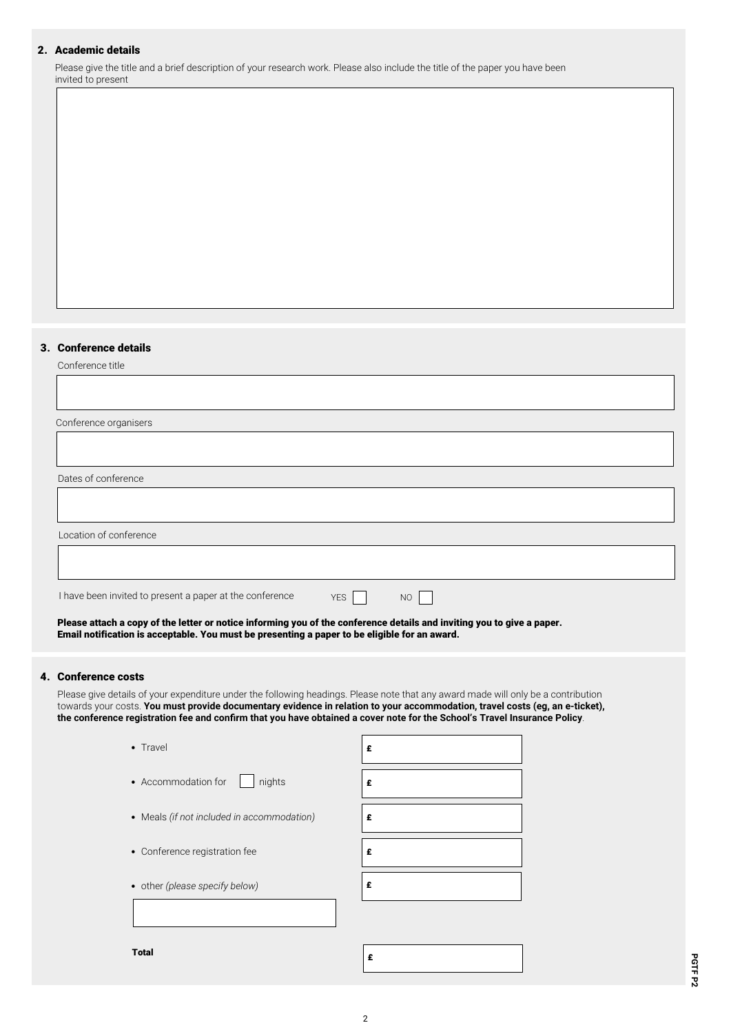### 2. Academic details

Please give the title and a brief description of your research work. Please also include the title of the paper you have been invited to present

#### 3. Conference details

Conference title

| Conference organisers                                                   |
|-------------------------------------------------------------------------|
|                                                                         |
| Dates of conference                                                     |
|                                                                         |
| Location of conference                                                  |
|                                                                         |
| I have been invited to present a paper at the conference<br>YES  <br>NO |
|                                                                         |

Please attach a copy of the letter or notice informing you of the conference details and inviting you to give a paper. Email notification is acceptable. You must be presenting a paper to be eligible for an award.

#### 4. Conference costs

Please give details of your expenditure under the following headings. Please note that any award made will only be a contribution towards your costs. **You must provide documentary evidence in relation to your accommodation, travel costs (eg, an e-ticket), the conference registration fee and confirm that you have obtained a cover note for the School's Travel Insurance Policy**.

| • Travel                                   | £ |
|--------------------------------------------|---|
| nights<br>• Accommodation for              | £ |
| • Meals (if not included in accommodation) | £ |
| • Conference registration fee              | £ |
| • other (please specify below)             | £ |
|                                            |   |
| <b>Total</b>                               | £ |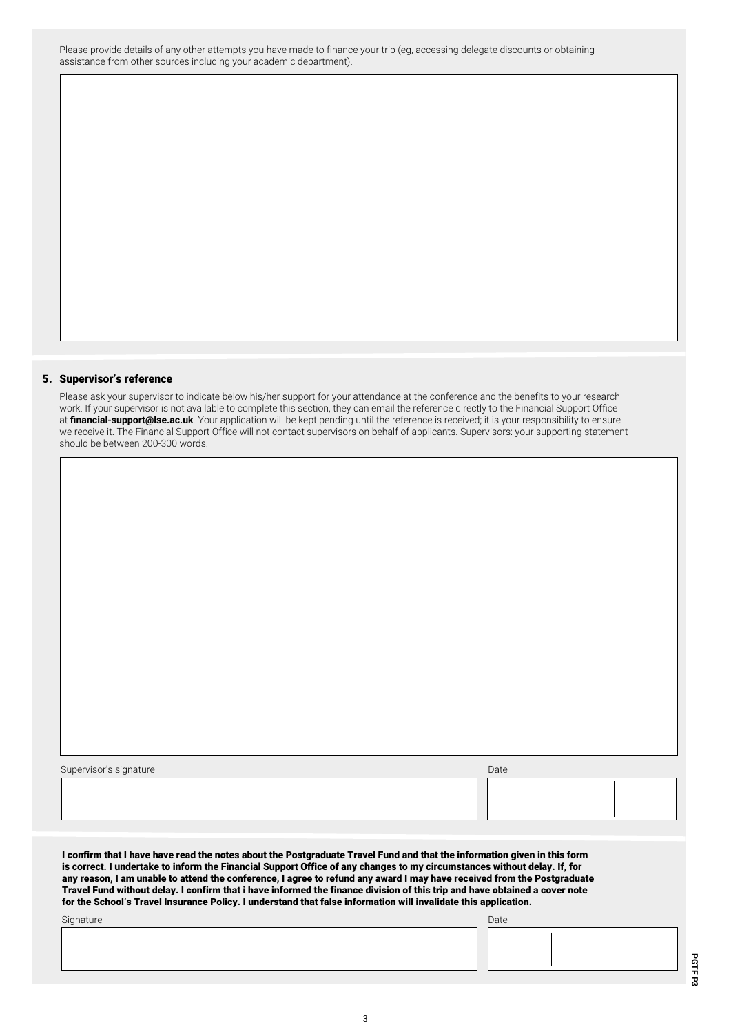Please provide details of any other attempts you have made to finance your trip (eg, accessing delegate discounts or obtaining assistance from other sources including your academic department).

#### 5. Supervisor's reference

Please ask your supervisor to indicate below his/her support for your attendance at the conference and the benefits to your research work. If your supervisor is not available to complete this section, they can email the reference directly to the Financial Support Office at **financial-support@lse.ac.uk**. Your application will be kept pending until the reference is received; it is your responsibility to ensure we receive it. The Financial Support Office will not contact supervisors on behalf of applicants. Supervisors: your supporting statement should be between 200-300 words.

| Supervisor's signature | Date |  |
|------------------------|------|--|
|                        |      |  |
|                        |      |  |
|                        |      |  |
|                        |      |  |

I confirm that I have have read the notes about the Postgraduate Travel Fund and that the information given in this form is correct. I undertake to inform the Financial Support Office of any changes to my circumstances without delay. If, for any reason, I am unable to attend the conference, I agree to refund any award I may have received from the Postgraduate Travel Fund without delay. I confirm that i have informed the finance division of this trip and have obtained a cover note for the School's Travel Insurance Policy. I understand that false information will invalidate this application.

| Signature | Date |  |
|-----------|------|--|
|           |      |  |
|           |      |  |
|           |      |  |
|           |      |  |

**PGTF P3**

PGTF P3